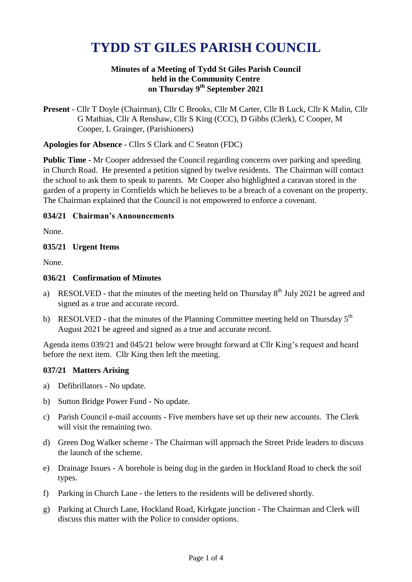# **TYDD ST GILES PARISH COUNCIL**

## **Minutes of a Meeting of Tydd St Giles Parish Council held in the Community Centre on Thursday 9 th September 2021**

**Present** - Cllr T Doyle (Chairman), Cllr C Brooks, Cllr M Carter, Cllr B Luck, Cllr K Malin, Cllr G Mathias, Cllr A Renshaw, Cllr S King (CCC), D Gibbs (Clerk), C Cooper, M Cooper, L Grainger, (Parishioners)

## **Apologies for Absence** - Cllrs S Clark and C Seaton (FDC)

**Public Time -** Mr Cooper addressed the Council regarding concerns over parking and speeding in Church Road. He presented a petition signed by twelve residents. The Chairman will contact the school to ask them to speak to parents. Mr Cooper also highlighted a caravan stored in the garden of a property in Cornfields which he believes to be a breach of a covenant on the property. The Chairman explained that the Council is not empowered to enforce a covenant.

## **034/21 Chairman's Announcements**

None.

## **035/21 Urgent Items**

None.

## **036/21 Confirmation of Minutes**

- a) RESOLVED that the minutes of the meeting held on Thursday  $8<sup>th</sup>$  July 2021 be agreed and signed as a true and accurate record.
- b) RESOLVED that the minutes of the Planning Committee meeting held on Thursday  $5<sup>th</sup>$ August 2021 be agreed and signed as a true and accurate record.

Agenda items 039/21 and 045/21 below were brought forward at Cllr King's request and heard before the next item. Cllr King then left the meeting.

#### **037/21 Matters Arising**

- a) Defibrillators No update.
- b) Sutton Bridge Power Fund No update.
- c) Parish Council e-mail accounts Five members have set up their new accounts. The Clerk will visit the remaining two.
- d) Green Dog Walker scheme The Chairman will approach the Street Pride leaders to discuss the launch of the scheme.
- e) Drainage Issues A borehole is being dug in the garden in Hockland Road to check the soil types.
- f) Parking in Church Lane the letters to the residents will be delivered shortly.
- g) Parking at Church Lane, Hockland Road, Kirkgate junction The Chairman and Clerk will discuss this matter with the Police to consider options.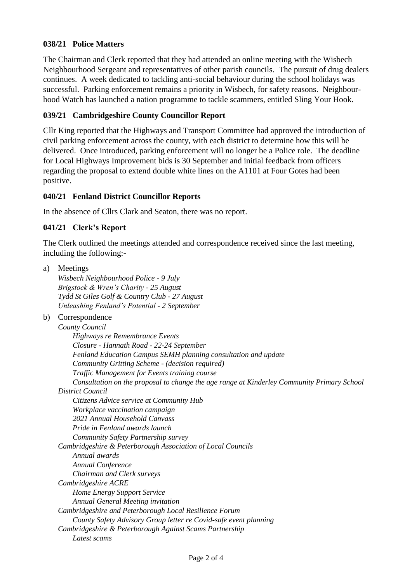# **038/21 Police Matters**

The Chairman and Clerk reported that they had attended an online meeting with the Wisbech Neighbourhood Sergeant and representatives of other parish councils. The pursuit of drug dealers continues. A week dedicated to tackling anti-social behaviour during the school holidays was successful. Parking enforcement remains a priority in Wisbech, for safety reasons. Neighbourhood Watch has launched a nation programme to tackle scammers, entitled Sling Your Hook.

# **039/21 Cambridgeshire County Councillor Report**

Cllr King reported that the Highways and Transport Committee had approved the introduction of civil parking enforcement across the county, with each district to determine how this will be delivered. Once introduced, parking enforcement will no longer be a Police role. The deadline for Local Highways Improvement bids is 30 September and initial feedback from officers regarding the proposal to extend double white lines on the A1101 at Four Gotes had been positive.

## **040/21 Fenland District Councillor Reports**

In the absence of Cllrs Clark and Seaton, there was no report.

# **041/21 Clerk's Report**

The Clerk outlined the meetings attended and correspondence received since the last meeting, including the following:-

| a) | Meetings                                                                                   |
|----|--------------------------------------------------------------------------------------------|
|    | Wisbech Neighbourhood Police - 9 July                                                      |
|    | Brigstock & Wren's Charity - 25 August                                                     |
|    | Tydd St Giles Golf & Country Club - 27 August                                              |
|    | Unleashing Fenland's Potential - 2 September                                               |
| b) | Correspondence                                                                             |
|    | County Council                                                                             |
|    | Highways re Remembrance Events                                                             |
|    | Closure - Hannath Road - 22-24 September                                                   |
|    | Fenland Education Campus SEMH planning consultation and update                             |
|    | Community Gritting Scheme - (decision required)                                            |
|    | Traffic Management for Events training course                                              |
|    | Consultation on the proposal to change the age range at Kinderley Community Primary School |
|    | <b>District Council</b>                                                                    |
|    | Citizens Advice service at Community Hub                                                   |
|    | Workplace vaccination campaign                                                             |
|    | 2021 Annual Household Canvass                                                              |
|    | Pride in Fenland awards launch                                                             |
|    | Community Safety Partnership survey                                                        |
|    | Cambridgeshire & Peterborough Association of Local Councils                                |
|    | Annual awards                                                                              |
|    | Annual Conference                                                                          |
|    | Chairman and Clerk surveys                                                                 |
|    | Cambridgeshire ACRE                                                                        |
|    | <b>Home Energy Support Service</b>                                                         |
|    | <b>Annual General Meeting invitation</b>                                                   |
|    | Cambridgeshire and Peterborough Local Resilience Forum                                     |
|    | County Safety Advisory Group letter re Covid-safe event planning                           |
|    | Cambridgeshire & Peterborough Against Scams Partnership                                    |
|    | Latest scams                                                                               |
|    |                                                                                            |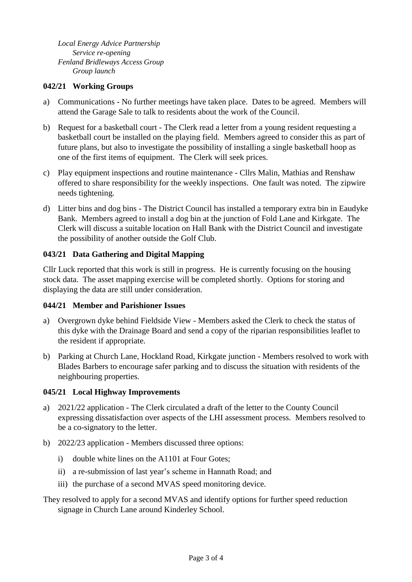*Local Energy Advice Partnership Service re-opening Fenland Bridleways Access Group Group launch*

## **042/21 Working Groups**

- a) Communications No further meetings have taken place. Dates to be agreed. Members will attend the Garage Sale to talk to residents about the work of the Council.
- b) Request for a basketball court The Clerk read a letter from a young resident requesting a basketball court be installed on the playing field. Members agreed to consider this as part of future plans, but also to investigate the possibility of installing a single basketball hoop as one of the first items of equipment. The Clerk will seek prices.
- c) Play equipment inspections and routine maintenance Cllrs Malin, Mathias and Renshaw offered to share responsibility for the weekly inspections. One fault was noted. The zipwire needs tightening.
- d) Litter bins and dog bins The District Council has installed a temporary extra bin in Eaudyke Bank. Members agreed to install a dog bin at the junction of Fold Lane and Kirkgate. The Clerk will discuss a suitable location on Hall Bank with the District Council and investigate the possibility of another outside the Golf Club.

## **043/21 Data Gathering and Digital Mapping**

Cllr Luck reported that this work is still in progress. He is currently focusing on the housing stock data. The asset mapping exercise will be completed shortly. Options for storing and displaying the data are still under consideration.

#### **044/21 Member and Parishioner Issues**

- a) Overgrown dyke behind Fieldside View Members asked the Clerk to check the status of this dyke with the Drainage Board and send a copy of the riparian responsibilities leaflet to the resident if appropriate.
- b) Parking at Church Lane, Hockland Road, Kirkgate junction Members resolved to work with Blades Barbers to encourage safer parking and to discuss the situation with residents of the neighbouring properties.

#### **045/21 Local Highway Improvements**

- a) 2021/22 application The Clerk circulated a draft of the letter to the County Council expressing dissatisfaction over aspects of the LHI assessment process. Members resolved to be a co-signatory to the letter.
- b) 2022/23 application Members discussed three options:
	- i) double white lines on the A1101 at Four Gotes;
	- ii) a re-submission of last year's scheme in Hannath Road; and
	- iii) the purchase of a second MVAS speed monitoring device.

# They resolved to apply for a second MVAS and identify options for further speed reduction signage in Church Lane around Kinderley School.